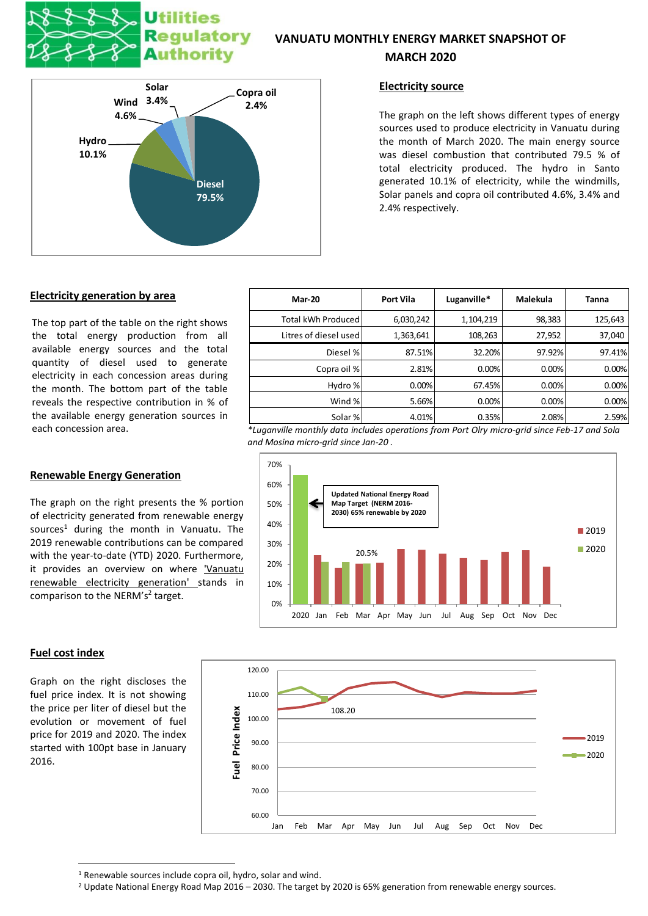# **Utilities Regulatory Authority**

# **VANUATU MONTHLY ENERGY MARKET SNAPSHOT OF**





## **Electricity source**

The graph on the left shows different types of energy sources used to produce electricity in Vanuatu during the month of March 2020. The main energy source was diesel combustion that contributed 79.5 % of total electricity produced. The hydro in Santo generated 10.1% of electricity, while the windmills, Solar panels and copra oil contributed 4.6%, 3.4% and 2.4% respectively.

# **Electricity generation by area**

The top part of the table on the right shows the total energy production from all available energy sources and the total quantity of diesel used to generate electricity in each concession areas during the month. The bottom part of the table reveals the respective contribution in % of the available energy generation sources in

# **Renewable Energy Generation**

The graph on the right presents the % portion of electricity generated from renewable energy sources<sup>1</sup> during the month in Vanuatu. The 2019 renewable contributions can be compared with the year-to-date (YTD) 2020. Furthermore, it provides an overview on where 'Vanuatu renewable electricity generation' stands in comparison to the NERM's<sup>2</sup> target.



each concession area. *\*Luganville monthly data includes operations from Port Olry micro-grid since Feb-17 and Sola and Mosina micro-grid since Jan-20 .*



#### **Fuel cost index**

Graph on the right discloses the fuel price index. It is not showing the price per liter of diesel but the evolution or movement of fuel price for 2019 and 2020. The index started with 100pt base in January 2016.



<sup>&</sup>lt;sup>1</sup> Renewable sources include copra oil, hydro, solar and wind.

<sup>&</sup>lt;sup>2</sup> Update National Energy Road Map 2016 – 2030. The target by 2020 is 65% generation from renewable energy sources.